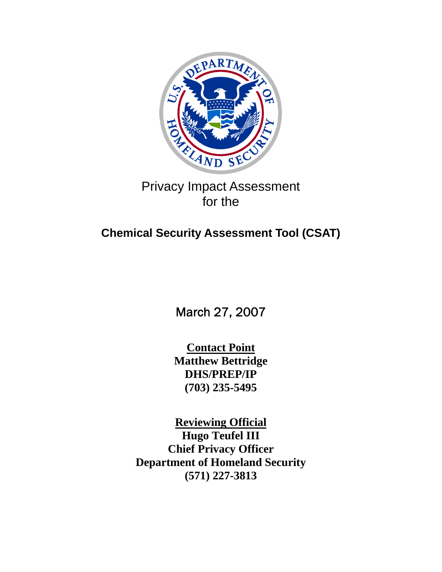

# Privacy Impact Assessment for the

# **Chemical Security Assessment Tool (CSAT)**

March 27, 2007

**Contact Point Matthew Bettridge DHS/PREP/IP (703) 235-5495** 

**Reviewing Official Hugo Teufel III Chief Privacy Officer Department of Homeland Security (571) 227-3813**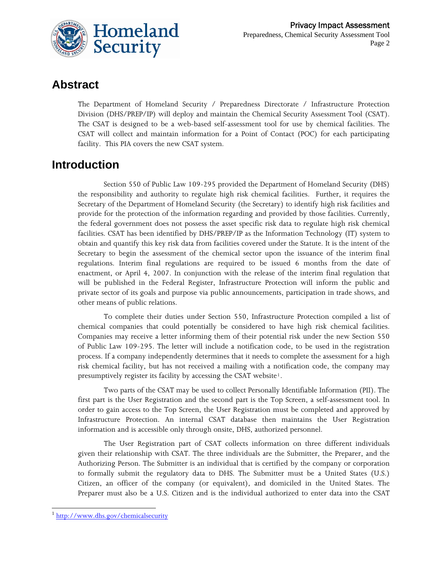

# **Abstract**

The Department of Homeland Security / Preparedness Directorate / Infrastructure Protection Division (DHS/PREP/IP) will deploy and maintain the Chemical Security Assessment Tool (CSAT). The CSAT is designed to be a web-based self-assessment tool for use by chemical facilities. The CSAT will collect and maintain information for a Point of Contact (POC) for each participating facility. This PIA covers the new CSAT system.

# **Introduction**

Section 550 of Public Law 109-295 provided the Department of Homeland Security (DHS) the responsibility and authority to regulate high risk chemical facilities. Further, it requires the Secretary of the Department of Homeland Security (the Secretary) to identify high risk facilities and provide for the protection of the information regarding and provided by those facilities. Currently, the federal government does not possess the asset specific risk data to regulate high risk chemical facilities. CSAT has been identified by DHS/PREP/IP as the Information Technology (IT) system to obtain and quantify this key risk data from facilities covered under the Statute. It is the intent of the Secretary to begin the assessment of the chemical sector upon the issuance of the interim final regulations. Interim final regulations are required to be issued 6 months from the date of enactment, or April 4, 2007. In conjunction with the release of the interim final regulation that will be published in the Federal Register, Infrastructure Protection will inform the public and private sector of its goals and purpose via public announcements, participation in trade shows, and other means of public relations.

To complete their duties under Section 550, Infrastructure Protection compiled a list of chemical companies that could potentially be considered to have high risk chemical facilities. Companies may receive a letter informing them of their potential risk under the new Section 550 of Public Law 109-295. The letter will include a notification code, to be used in the registration process. If a company independently determines that it needs to complete the assessment for a high risk chemical facility, but has not received a mailing with a notification code, the company may presumptively register its facility by accessing the CSAT website<sup>[1](#page-1-0)</sup>.

Two parts of the CSAT may be used to collect Personally Identifiable Information (PII). The first part is the User Registration and the second part is the Top Screen, a self-assessment tool. In order to gain access to the Top Screen, the User Registration must be completed and approved by Infrastructure Protection. An internal CSAT database then maintains the User Registration information and is accessible only through onsite, DHS, authorized personnel.

The User Registration part of CSAT collects information on three different individuals given their relationship with CSAT. The three individuals are the Submitter, the Preparer, and the Authorizing Person. The Submitter is an individual that is certified by the company or corporation to formally submit the regulatory data to DHS. The Submitter must be a United States (U.S.) Citizen, an officer of the company (or equivalent), and domiciled in the United States. The Preparer must also be a U.S. Citizen and is the individual authorized to enter data into the CSAT

 $\overline{a}$ 

<span id="page-1-0"></span><sup>&</sup>lt;sup>1</sup> <http://www.dhs.gov/chemicalsecurity>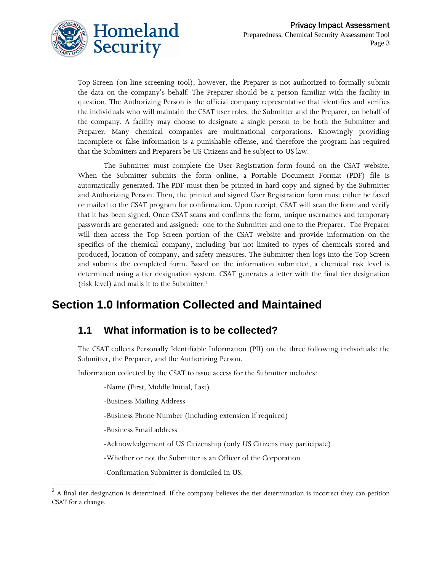

Top Screen (on-line screening tool); however, the Preparer is not authorized to formally submit the data on the company's behalf. The Preparer should be a person familiar with the facility in question. The Authorizing Person is the official company representative that identifies and verifies the individuals who will maintain the CSAT user roles, the Submitter and the Preparer, on behalf of the company. A facility may choose to designate a single person to be both the Submitter and Preparer. Many chemical companies are multinational corporations. Knowingly providing incomplete or false information is a punishable offense, and therefore the program has required that the Submitters and Preparers be US Citizens and be subject to US law.

The Submitter must complete the User Registration form found on the CSAT website. When the Submitter submits the form online, a Portable Document Format (PDF) file is automatically generated. The PDF must then be printed in hard copy and signed by the Submitter and Authorizing Person. Then, the printed and signed User Registration form must either be faxed or mailed to the CSAT program for confirmation. Upon receipt, CSAT will scan the form and verify that it has been signed. Once CSAT scans and confirms the form, unique usernames and temporary passwords are generated and assigned: one to the Submitter and one to the Preparer. The Preparer will then access the Top Screen portion of the CSAT website and provide information on the specifics of the chemical company, including but not limited to types of chemicals stored and produced, location of company, and safety measures. The Submitter then logs into the Top Screen and submits the completed form. Based on the information submitted, a chemical risk level is determined using a tier designation system. CSAT generates a letter with the final tier designation (risk level) and mails it to the Submitter.[2](#page-2-0)

# **Section 1.0 Information Collected and Maintained**

#### **1.1 What information is to be collected?**

The CSAT collects Personally Identifiable Information (PII) on the three following individuals: the Submitter, the Preparer, and the Authorizing Person.

Information collected by the CSAT to issue access for the Submitter includes:

-Name (First, Middle Initial, Last)

-Business Mailing Address

-Business Phone Number (including extension if required)

-Business Email address

 $\overline{a}$ 

-Acknowledgement of US Citizenship (only US Citizens may participate)

-Whether or not the Submitter is an Officer of the Corporation

-Confirmation Submitter is domiciled in US,

<span id="page-2-0"></span> $2$  A final tier designation is determined. If the company believes the tier determination is incorrect they can petition CSAT for a change.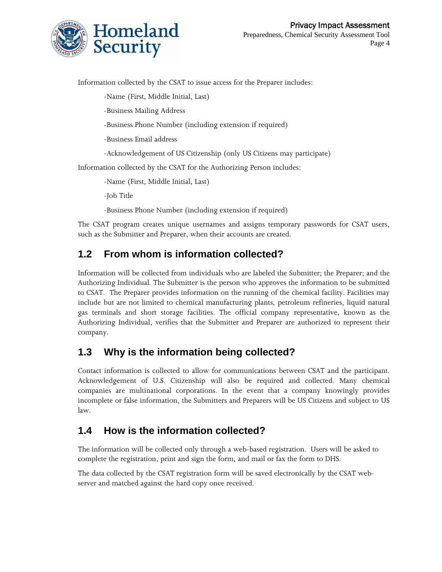

Information collected by the CSAT to issue access for the Preparer includes:

-Name (First, Middle Initial, Last)

-Business Mailing Address

-Business Phone Number (including extension if required)

-Business Email address

-Acknowledgement of US Citizenship (only US Citizens may participate)

Information collected by the CSAT for the Authorizing Person includes:

-Name (First, Middle Initial, Last)

-Job Title

-Business Phone Number (including extension if required)

The CSAT program creates unique usernames and assigns temporary passwords for CSAT users, such as the Submitter and Preparer, when their accounts are created.

## **1.2 From whom is information collected?**

Information will be collected from individuals who are labeled the Submitter; the Preparer; and the Authorizing Individual. The Submitter is the person who approves the information to be submitted to CSAT. The Preparer provides information on the running of the chemical facility. Facilities may include but are not limited to chemical manufacturing plants, petroleum refineries, liquid natural gas terminals and short storage facilities. The official company representative, known as the Authorizing Individual, verifies that the Submitter and Preparer are authorized to represent their company.

## **1.3 Why is the information being collected?**

Contact information is collected to allow for communications between CSAT and the participant. Acknowledgement of U.S. Citizenship will also be required and collected. Many chemical companies are multinational corporations. In the event that a company knowingly provides incomplete or false information, the Submitters and Preparers will be US Citizens and subject to US law.

#### **1.4 How is the information collected?**

The information will be collected only through a web-based registration. Users will be asked to complete the registration, print and sign the form, and mail or fax the form to DHS.

The data collected by the CSAT registration form will be saved electronically by the CSAT webserver and matched against the hard copy once received.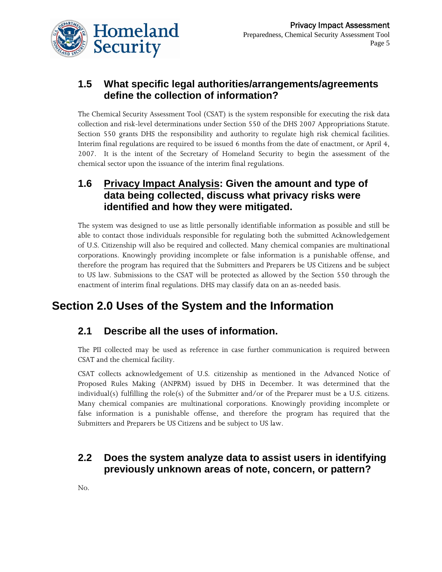

## **1.5 What specific legal authorities/arrangements/agreements define the collection of information?**

The Chemical Security Assessment Tool (CSAT) is the system responsible for executing the risk data collection and risk-level determinations under Section 550 of the DHS 2007 Appropriations Statute. Section 550 grants DHS the responsibility and authority to regulate high risk chemical facilities. Interim final regulations are required to be issued 6 months from the date of enactment, or April 4, 2007. It is the intent of the Secretary of Homeland Security to begin the assessment of the chemical sector upon the issuance of the interim final regulations.

#### **1.6 Privacy Impact Analysis: Given the amount and type of data being collected, discuss what privacy risks were identified and how they were mitigated.**

The system was designed to use as little personally identifiable information as possible and still be able to contact those individuals responsible for regulating both the submitted Acknowledgement of U.S. Citizenship will also be required and collected. Many chemical companies are multinational corporations. Knowingly providing incomplete or false information is a punishable offense, and therefore the program has required that the Submitters and Preparers be US Citizens and be subject to US law. Submissions to the CSAT will be protected as allowed by the Section 550 through the enactment of interim final regulations. DHS may classify data on an as-needed basis.

# **Section 2.0 Uses of the System and the Information**

## **2.1 Describe all the uses of information.**

The PII collected may be used as reference in case further communication is required between CSAT and the chemical facility.

CSAT collects acknowledgement of U.S. citizenship as mentioned in the Advanced Notice of Proposed Rules Making (ANPRM) issued by DHS in December. It was determined that the individual(s) fulfilling the role(s) of the Submitter and/or of the Preparer must be a U.S. citizens. Many chemical companies are multinational corporations. Knowingly providing incomplete or false information is a punishable offense, and therefore the program has required that the Submitters and Preparers be US Citizens and be subject to US law.

## **2.2 Does the system analyze data to assist users in identifying previously unknown areas of note, concern, or pattern?**

No.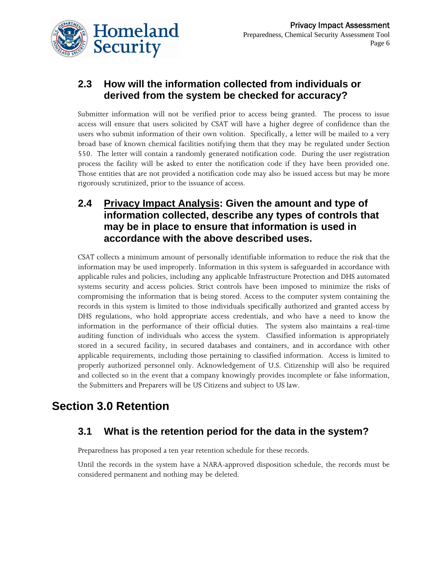

## **2.3 How will the information collected from individuals or derived from the system be checked for accuracy?**

Submitter information will not be verified prior to access being granted. The process to issue access will ensure that users solicited by CSAT will have a higher degree of confidence than the users who submit information of their own volition. Specifically, a letter will be mailed to a very broad base of known chemical facilities notifying them that they may be regulated under Section 550. The letter will contain a randomly generated notification code. During the user registration process the facility will be asked to enter the notification code if they have been provided one. Those entities that are not provided a notification code may also be issued access but may be more rigorously scrutinized, prior to the issuance of access.

#### **2.4 Privacy Impact Analysis: Given the amount and type of information collected, describe any types of controls that may be in place to ensure that information is used in accordance with the above described uses.**

CSAT collects a minimum amount of personally identifiable information to reduce the risk that the information may be used improperly. Information in this system is safeguarded in accordance with applicable rules and policies, including any applicable Infrastructure Protection and DHS automated systems security and access policies. Strict controls have been imposed to minimize the risks of compromising the information that is being stored. Access to the computer system containing the records in this system is limited to those individuals specifically authorized and granted access by DHS regulations, who hold appropriate access credentials, and who have a need to know the information in the performance of their official duties. The system also maintains a real-time auditing function of individuals who access the system. Classified information is appropriately stored in a secured facility, in secured databases and containers, and in accordance with other applicable requirements, including those pertaining to classified information. Access is limited to properly authorized personnel only. Acknowledgement of U.S. Citizenship will also be required and collected so in the event that a company knowingly provides incomplete or false information, the Submitters and Preparers will be US Citizens and subject to US law.

# **Section 3.0 Retention**

## **3.1 What is the retention period for the data in the system?**

Preparedness has proposed a ten year retention schedule for these records.

Until the records in the system have a NARA-approved disposition schedule, the records must be considered permanent and nothing may be deleted.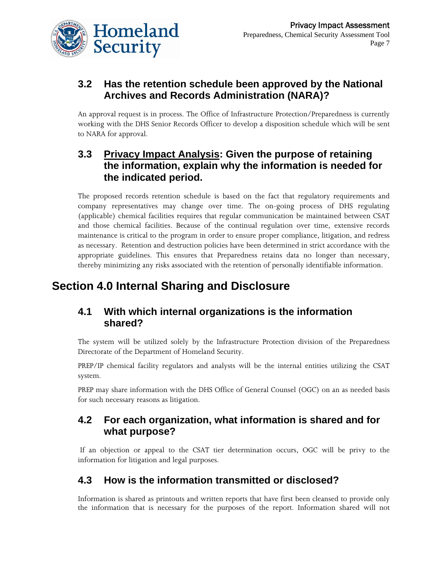

# **3.2 Has the retention schedule been approved by the National Archives and Records Administration (NARA)?**

An approval request is in process. The Office of Infrastructure Protection/Preparedness is currently working with the DHS Senior Records Officer to develop a disposition schedule which will be sent to NARA for approval.

## **3.3 Privacy Impact Analysis: Given the purpose of retaining the information, explain why the information is needed for the indicated period.**

The proposed records retention schedule is based on the fact that regulatory requirements and company representatives may change over time. The on-going process of DHS regulating (applicable) chemical facilities requires that regular communication be maintained between CSAT and those chemical facilities. Because of the continual regulation over time, extensive records maintenance is critical to the program in order to ensure proper compliance, litigation, and redress as necessary. Retention and destruction policies have been determined in strict accordance with the appropriate guidelines. This ensures that Preparedness retains data no longer than necessary, thereby minimizing any risks associated with the retention of personally identifiable information.

# **Section 4.0 Internal Sharing and Disclosure**

#### **4.1 With which internal organizations is the information shared?**

The system will be utilized solely by the Infrastructure Protection division of the Preparedness Directorate of the Department of Homeland Security.

PREP/IP chemical facility regulators and analysts will be the internal entities utilizing the CSAT system.

PREP may share information with the DHS Office of General Counsel (OGC) on an as needed basis for such necessary reasons as litigation.

#### **4.2 For each organization, what information is shared and for what purpose?**

 If an objection or appeal to the CSAT tier determination occurs, OGC will be privy to the information for litigation and legal purposes.

# **4.3 How is the information transmitted or disclosed?**

Information is shared as printouts and written reports that have first been cleansed to provide only the information that is necessary for the purposes of the report. Information shared will not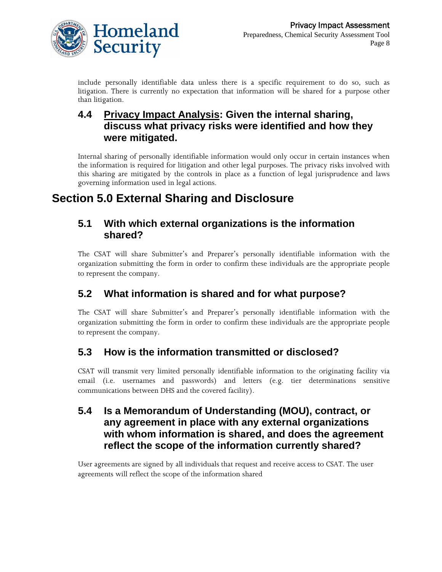

include personally identifiable data unless there is a specific requirement to do so, such as litigation. There is currently no expectation that information will be shared for a purpose other than litigation.

#### **4.4 Privacy Impact Analysis: Given the internal sharing, discuss what privacy risks were identified and how they were mitigated.**

Internal sharing of personally identifiable information would only occur in certain instances when the information is required for litigation and other legal purposes. The privacy risks involved with this sharing are mitigated by the controls in place as a function of legal jurisprudence and laws governing information used in legal actions.

# **Section 5.0 External Sharing and Disclosure**

#### **5.1 With which external organizations is the information shared?**

The CSAT will share Submitter's and Preparer's personally identifiable information with the organization submitting the form in order to confirm these individuals are the appropriate people to represent the company.

## **5.2 What information is shared and for what purpose?**

The CSAT will share Submitter's and Preparer's personally identifiable information with the organization submitting the form in order to confirm these individuals are the appropriate people to represent the company.

## **5.3 How is the information transmitted or disclosed?**

CSAT will transmit very limited personally identifiable information to the originating facility via email (i.e. usernames and passwords) and letters (e.g. tier determinations sensitive communications between DHS and the covered facility).

#### **5.4 Is a Memorandum of Understanding (MOU), contract, or any agreement in place with any external organizations with whom information is shared, and does the agreement reflect the scope of the information currently shared?**

User agreements are signed by all individuals that request and receive access to CSAT. The user agreements will reflect the scope of the information shared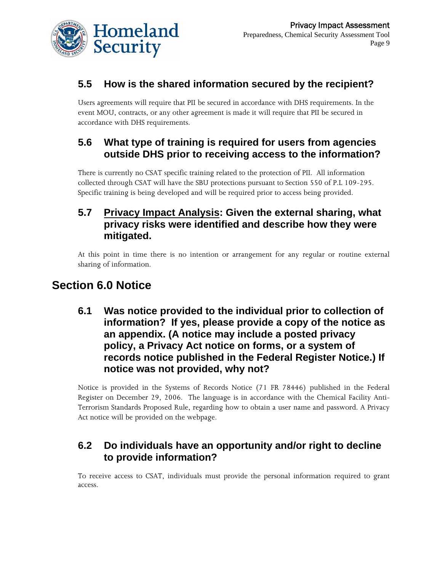

# **5.5 How is the shared information secured by the recipient?**

Users agreements will require that PII be secured in accordance with DHS requirements. In the event MOU, contracts, or any other agreement is made it will require that PII be secured in accordance with DHS requirements.

## **5.6 What type of training is required for users from agencies outside DHS prior to receiving access to the information?**

There is currently no CSAT specific training related to the protection of PII. All information collected through CSAT will have the SBU protections pursuant to Section 550 of P.L 109-295. Specific training is being developed and will be required prior to access being provided.

#### **5.7 Privacy Impact Analysis: Given the external sharing, what privacy risks were identified and describe how they were mitigated.**

At this point in time there is no intention or arrangement for any regular or routine external sharing of information.

# **Section 6.0 Notice**

**6.1 Was notice provided to the individual prior to collection of information? If yes, please provide a copy of the notice as an appendix. (A notice may include a posted privacy policy, a Privacy Act notice on forms, or a system of records notice published in the Federal Register Notice.) If notice was not provided, why not?** 

Notice is provided in the Systems of Records Notice (71 FR 78446) published in the Federal Register on December 29, 2006. The language is in accordance with the Chemical Facility Anti-Terrorism Standards Proposed Rule, regarding how to obtain a user name and password. A Privacy Act notice will be provided on the webpage.

## **6.2 Do individuals have an opportunity and/or right to decline to provide information?**

To receive access to CSAT, individuals must provide the personal information required to grant access.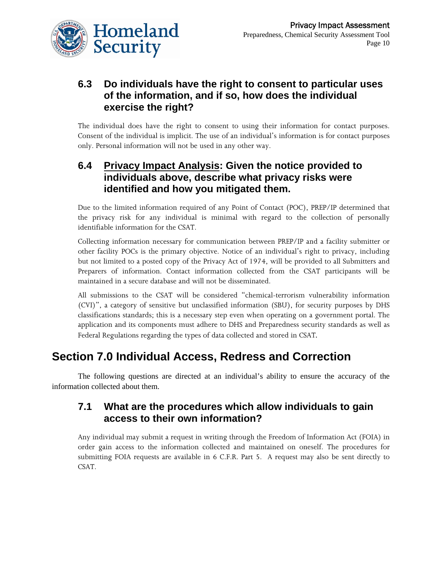

### **6.3 Do individuals have the right to consent to particular uses of the information, and if so, how does the individual exercise the right?**

The individual does have the right to consent to using their information for contact purposes. Consent of the individual is implicit. The use of an individual's information is for contact purposes only. Personal information will not be used in any other way.

#### **6.4 Privacy Impact Analysis: Given the notice provided to individuals above, describe what privacy risks were identified and how you mitigated them.**

Due to the limited information required of any Point of Contact (POC), PREP/IP determined that the privacy risk for any individual is minimal with regard to the collection of personally identifiable information for the CSAT.

Collecting information necessary for communication between PREP/IP and a facility submitter or other facility POCs is the primary objective. Notice of an individual's right to privacy, including but not limited to a posted copy of the Privacy Act of 1974, will be provided to all Submitters and Preparers of information. Contact information collected from the CSAT participants will be maintained in a secure database and will not be disseminated.

All submissions to the CSAT will be considered "chemical-terrorism vulnerability information (CVI)", a category of sensitive but unclassified information (SBU), for security purposes by DHS classifications standards; this is a necessary step even when operating on a government portal. The application and its components must adhere to DHS and Preparedness security standards as well as Federal Regulations regarding the types of data collected and stored in CSAT.

# **Section 7.0 Individual Access, Redress and Correction**

The following questions are directed at an individual's ability to ensure the accuracy of the information collected about them.

#### **7.1 What are the procedures which allow individuals to gain access to their own information?**

Any individual may submit a request in writing through the Freedom of Information Act (FOIA) in order gain access to the information collected and maintained on oneself. The procedures for submitting FOIA requests are available in 6 C.F.R. Part 5. A request may also be sent directly to CSAT.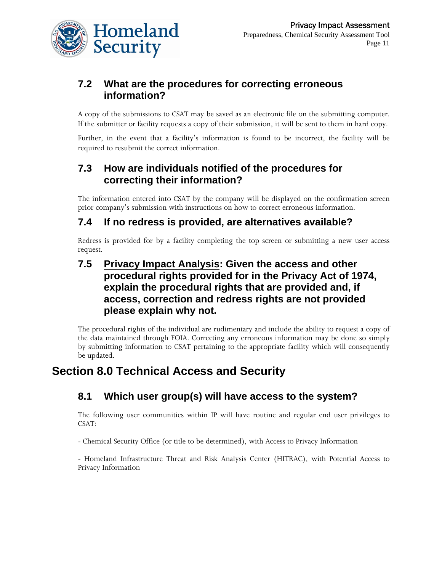

## **7.2 What are the procedures for correcting erroneous information?**

A copy of the submissions to CSAT may be saved as an electronic file on the submitting computer. If the submitter or facility requests a copy of their submission, it will be sent to them in hard copy.

Further, in the event that a facility's information is found to be incorrect, the facility will be required to resubmit the correct information.

## **7.3 How are individuals notified of the procedures for correcting their information?**

The information entered into CSAT by the company will be displayed on the confirmation screen prior company's submission with instructions on how to correct erroneous information.

#### **7.4 If no redress is provided, are alternatives available?**

Redress is provided for by a facility completing the top screen or submitting a new user access request.

#### **7.5 Privacy Impact Analysis: Given the access and other procedural rights provided for in the Privacy Act of 1974, explain the procedural rights that are provided and, if access, correction and redress rights are not provided please explain why not.**

The procedural rights of the individual are rudimentary and include the ability to request a copy of the data maintained through FOIA. Correcting any erroneous information may be done so simply by submitting information to CSAT pertaining to the appropriate facility which will consequently be updated.

# **Section 8.0 Technical Access and Security**

## **8.1 Which user group(s) will have access to the system?**

The following user communities within IP will have routine and regular end user privileges to CSAT:

- Chemical Security Office (or title to be determined), with Access to Privacy Information

- Homeland Infrastructure Threat and Risk Analysis Center (HITRAC), with Potential Access to Privacy Information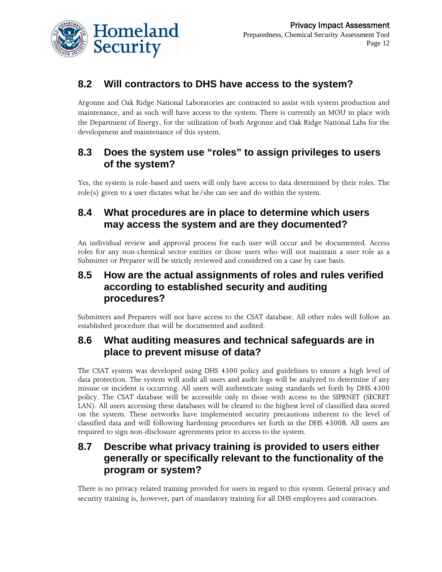

# **8.2 Will contractors to DHS have access to the system?**

Argonne and Oak Ridge National Laboratories are contracted to assist with system production and maintenance, and as such will have access to the system. There is currently an MOU in place with the Department of Energy, for the utilization of both Argonne and Oak Ridge National Labs for the development and maintenance of this system.

## **8.3 Does the system use "roles" to assign privileges to users of the system?**

Yes, the system is role-based and users will only have access to data determined by their roles. The role(s) given to a user dictates what he/she can see and do within the system.

### **8.4 What procedures are in place to determine which users may access the system and are they documented?**

An individual review and approval process for each user will occur and be documented. Access roles for any non-chemical sector entities or those users who will not maintain a user role as a Submitter or Preparer will be strictly reviewed and considered on a case by case basis.

#### **8.5 How are the actual assignments of roles and rules verified according to established security and auditing procedures?**

Submitters and Preparers will not have access to the CSAT database. All other roles will follow an established procedure that will be documented and audited.

## **8.6 What auditing measures and technical safeguards are in place to prevent misuse of data?**

The CSAT system was developed using DHS 4300 policy and guidelines to ensure a high level of data protection. The system will audit all users and audit logs will be analyzed to determine if any misuse or incident is occurring. All users will authenticate using standards set forth by DHS 4300 policy. The CSAT database will be accessible only to those with access to the SIPRNET (SECRET LAN). All users accessing these databases will be cleared to the highest level of classified data stored on the system. These networks have implemented security precautions inherent to the level of classified data and will following hardening procedures set forth in the DHS 4300B. All users are required to sign non-disclosure agreements prior to access to the system.

## **8.7 Describe what privacy training is provided to users either generally or specifically relevant to the functionality of the program or system?**

There is no privacy related training provided for users in regard to this system. General privacy and security training is, however, part of mandatory training for all DHS employees and contractors.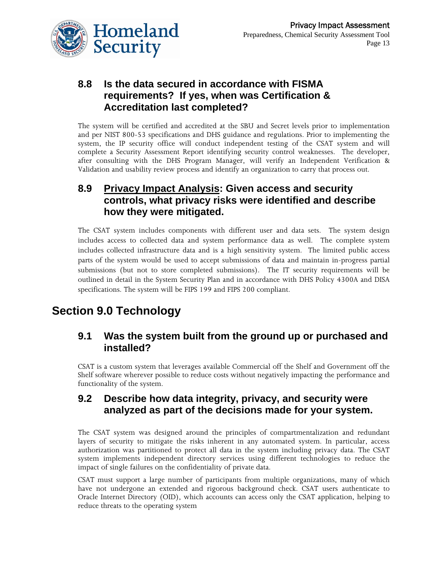

## **8.8 Is the data secured in accordance with FISMA requirements? If yes, when was Certification & Accreditation last completed?**

The system will be certified and accredited at the SBU and Secret levels prior to implementation and per NIST 800-53 specifications and DHS guidance and regulations. Prior to implementing the system, the IP security office will conduct independent testing of the CSAT system and will complete a Security Assessment Report identifying security control weaknesses. The developer, after consulting with the DHS Program Manager, will verify an Independent Verification & Validation and usability review process and identify an organization to carry that process out.

#### **8.9 Privacy Impact Analysis: Given access and security controls, what privacy risks were identified and describe how they were mitigated.**

The CSAT system includes components with different user and data sets. The system design includes access to collected data and system performance data as well. The complete system includes collected infrastructure data and is a high sensitivity system. The limited public access parts of the system would be used to accept submissions of data and maintain in-progress partial submissions (but not to store completed submissions). The IT security requirements will be outlined in detail in the System Security Plan and in accordance with DHS Policy 4300A and DISA specifications. The system will be FIPS 199 and FIPS 200 compliant.

# **Section 9.0 Technology**

#### **9.1 Was the system built from the ground up or purchased and installed?**

CSAT is a custom system that leverages available Commercial off the Shelf and Government off the Shelf software wherever possible to reduce costs without negatively impacting the performance and functionality of the system.

#### **9.2 Describe how data integrity, privacy, and security were analyzed as part of the decisions made for your system.**

The CSAT system was designed around the principles of compartmentalization and redundant layers of security to mitigate the risks inherent in any automated system. In particular, access authorization was partitioned to protect all data in the system including privacy data. The CSAT system implements independent directory services using different technologies to reduce the impact of single failures on the confidentiality of private data.

CSAT must support a large number of participants from multiple organizations, many of which have not undergone an extended and rigorous background check. CSAT users authenticate to Oracle Internet Directory (OID), which accounts can access only the CSAT application, helping to reduce threats to the operating system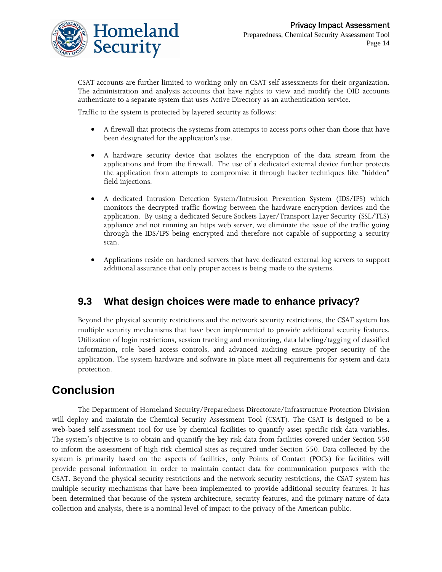

CSAT accounts are further limited to working only on CSAT self assessments for their organization. The administration and analysis accounts that have rights to view and modify the OID accounts authenticate to a separate system that uses Active Directory as an authentication service.

Traffic to the system is protected by layered security as follows:

- A firewall that protects the systems from attempts to access ports other than those that have been designated for the application's use.
- A hardware security device that isolates the encryption of the data stream from the applications and from the firewall. The use of a dedicated external device further protects the application from attempts to compromise it through hacker techniques like "hidden" field injections.
- A dedicated Intrusion Detection System/Intrusion Prevention System (IDS/IPS) which monitors the decrypted traffic flowing between the hardware encryption devices and the application. By using a dedicated Secure Sockets Layer/Transport Layer Security (SSL/TLS) appliance and not running an https web server, we eliminate the issue of the traffic going through the IDS/IPS being encrypted and therefore not capable of supporting a security scan.
- Applications reside on hardened servers that have dedicated external log servers to support additional assurance that only proper access is being made to the systems.

## **9.3 What design choices were made to enhance privacy?**

Beyond the physical security restrictions and the network security restrictions, the CSAT system has multiple security mechanisms that have been implemented to provide additional security features. Utilization of login restrictions, session tracking and monitoring, data labeling/tagging of classified information, role based access controls, and advanced auditing ensure proper security of the application. The system hardware and software in place meet all requirements for system and data protection.

# **Conclusion**

The Department of Homeland Security/Preparedness Directorate/Infrastructure Protection Division will deploy and maintain the Chemical Security Assessment Tool (CSAT). The CSAT is designed to be a web-based self-assessment tool for use by chemical facilities to quantify asset specific risk data variables. The system's objective is to obtain and quantify the key risk data from facilities covered under Section 550 to inform the assessment of high risk chemical sites as required under Section 550. Data collected by the system is primarily based on the aspects of facilities, only Points of Contact (POCs) for facilities will provide personal information in order to maintain contact data for communication purposes with the CSAT. Beyond the physical security restrictions and the network security restrictions, the CSAT system has multiple security mechanisms that have been implemented to provide additional security features. It has been determined that because of the system architecture, security features, and the primary nature of data collection and analysis, there is a nominal level of impact to the privacy of the American public.